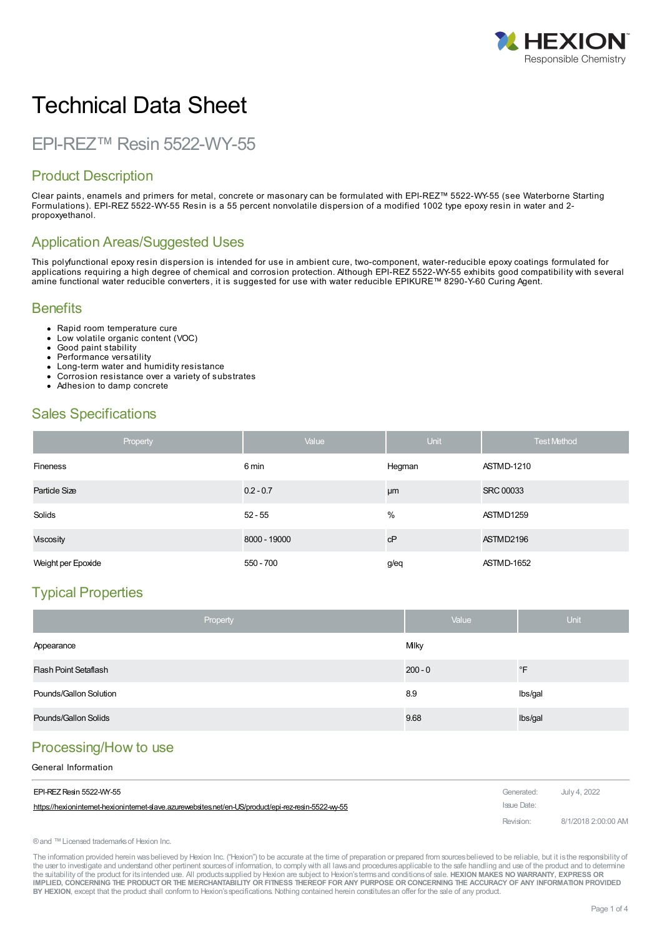

# Technical Data Sheet

# EPI-REZ™ Resin 5522-WY-55

# Product Description

Clear paints, enamels and primers for metal, concrete or masonary can be formulated with EPI-REZ™ 5522-WY-55 (see Waterborne Starting Formulations). EPI-REZ 5522-WY-55 Resin is a 55 percent nonvolatile dispersion of a modified 1002 type epoxy resin in water and 2 propoxyethanol.

### Application Areas/Suggested Uses

This polyfunctional epoxy resin dispersion is intended for use in ambient cure, two-component, water-reducible epoxy coatings formulated for applications requiring a high degree of chemical and corrosion protection. Although EPI-REZ 5522-WY-55 exhibits good compatibility with several amine functional water reducible converters, it is suggested for use with water reducible EPIKURE™ 8290-Y-60 Curing Agent.

### **Benefits**

- Rapid room temperature cure
- Low volatile organic content (VOC)  $\bullet$
- Good paint stability  $\bullet$  $\bullet$
- Performance versatility Long-term water and humidity resistance  $\bullet$
- Corrosion resistance over a variety of substrates
- Adhesion to damp concrete

# Sales Specifications

| Property           | Value        | <b>Unit</b> | <b>Test Method</b> |
|--------------------|--------------|-------------|--------------------|
| Fineness           | 6 min        | Hegman      | <b>ASTMD-1210</b>  |
| Particle Size      | $0.2 - 0.7$  | μm          | <b>SRC 00033</b>   |
| Solids             | $52 - 55$    | %           | ASTMD1259          |
| <b>Viscosity</b>   | 8000 - 19000 | cP          | ASTMD2196          |
| Weight per Epoxide | 550 - 700    | g/eq        | <b>ASTMD-1652</b>  |

# Typical Properties

| Property               | Value     | <b>Unit</b> |
|------------------------|-----------|-------------|
| Appearance             | Miky      |             |
| Flash Point Setaflash  | $200 - 0$ | °F          |
| Pounds/Gallon Solution | 8.9       | Ibs/gal     |
| Pounds/Gallon Solids   | 9.68      | Ibs/gal     |

### Processing/How to use

#### General [Information](https://hexioninternet-hexioninternet-slave.azurewebsites.net/en-US/product/epi-rez-resin-5522-wy-55)

| EPI-REZ Resin 5522-WY-55                                                                             | Generated:  | July 4, 2022        |
|------------------------------------------------------------------------------------------------------|-------------|---------------------|
| https://hexioninternet-hexioninternet-slave.azurewebsites.net/en-US/product/epi-rez-resin-5522-wy-55 | Issue Date: |                     |
|                                                                                                      | Revision:   | 8/1/2018 2:00:00 AM |

#### ®and ™Licensed trademarksof Hexion Inc.

The information provided herein wasbelieved by Hexion Inc. ("Hexion") to be accurate at the time of preparation or prepared from sourcesbelieved to be reliable, but it isthe responsibility of the user to investigate and understand other pertinent sources of information, to comply with all laws and procedures applicable to the safe handling and use of the product and to determine the suitability of the product for itsintended use. All productssupplied by Hexion are subject to Hexion'stermsand conditionsof sale. **HEXION MAKES NO WARRANTY, EXPRESS OR** IMPLIED, CONCERNING THE PRODUCT OR THE MERCHANTABILITY OR FITNESS THEREOF FOR ANY PURPOSE OR CONCERNING THE ACCURACY OF ANY INFORMATION PROVIDED **BY HEXION**, except that the product shall conform to Hexion'sspecifications. Nothing contained herein constitutesan offer for the sale of any product.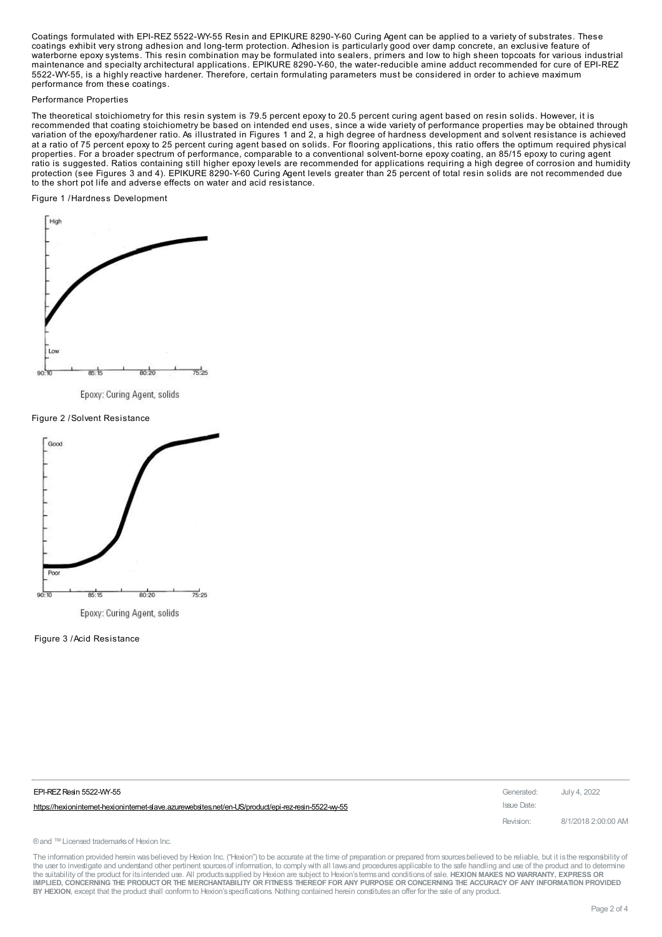Coatings formulated with EPI-REZ 5522-WY-55 Resin and EPIKURE 8290-Y-60 Curing Agent can be applied to a variety of substrates. These coatings exhibit very strong adhesion and long-term protection. Adhesion is particularly good over damp concrete, an exclusive feature of waterborne epoxy systems. This resin combination may be formulated into sealers, primers and low to high sheen topcoats for various industrial maintenance and specialty architectural applications. EPIKURE 8290-Y-60, the water-reducible amine adduct recommended for cure of EPI-REZ 5522-WY-55, is a highly reactive hardener. Therefore, certain formulating parameters must be considered in order to achieve maximum performance from these coatings.

#### Performance Properties

The theoretical stoichiometry for this resin system is 79.5 percent epoxy to 20.5 percent curing agent based on resin solids. However, it is recommended that coating stoichiometry be based on intended end uses, since a wide variety of performance properties may be obtained through variation of the epoxy/hardener ratio. As illustrated in Figures 1 and 2, a high degree of hardness development and solvent resistance is achieved at a ratio of 75 percent epoxy to 25 percent curing agent based on solids. For flooring applications, this ratio offers the optimum required physical properties. For a broader spectrum of performance, comparable to a conventional solvent-borne epoxy coating, an 85/15 epoxy to curing agent ratio is suggested. Ratios containing still higher epoxy levels are recommended for applications requiring a high degree of corrosion and humidity protection (see Figures 3 and 4). EPIKURE 8290-Y-60 Curing Agent levels greater than 25 percent of total resin solids are not recommended due to the short pot life and adverse effects on water and acid resistance.

#### Figure 1 /Hardness Development



Epoxy: Curing Agent, solids

#### Figure 2 /Solvent Resistance



Epoxy: Curing Agent, solids

Figure 3 /Acid Resistance

| EPI-REZ Resin 5522-WY-55                                                                           | Generated:  | July 4, 2022        |
|----------------------------------------------------------------------------------------------------|-------------|---------------------|
| https://hexionintemet-hexionintemet-slave.azurewebsites.net/en-US/product/epi-rez-resin-5522-wy-55 | Issue Date: |                     |
|                                                                                                    | Revision:   | 8/1/2018 2:00:00 AM |

#### ® and ™ Licensed trademarks of Hexion Inc.

The information provided herein wasbelieved by Hexion Inc. ("Hexion") to be accurate at the time of preparation or prepared from sourcesbelieved to be reliable, but it isthe responsibility of the user to investigate and understand other pertinent sources of information, to comply with all laws and procedures applicable to the safe handling and use of the product and to determine the suitability of the product for itsintended use. All productssupplied by Hexion are subject to Hexion'stermsand conditionsof sale. **HEXION MAKES NO WARRANTY, EXPRESS OR** IMPLIED, CONCERNING THE PRODUCT OR THE MERCHANTABILITY OR FITNESS THEREOF FOR ANY PURPOSE OR CONCERNING THE ACCURACY OF ANY INFORMATION PROVIDED **BY HEXION**, except that the product shall conform to Hexion'sspecifications. Nothing contained herein constitutesan offer for the sale of any product.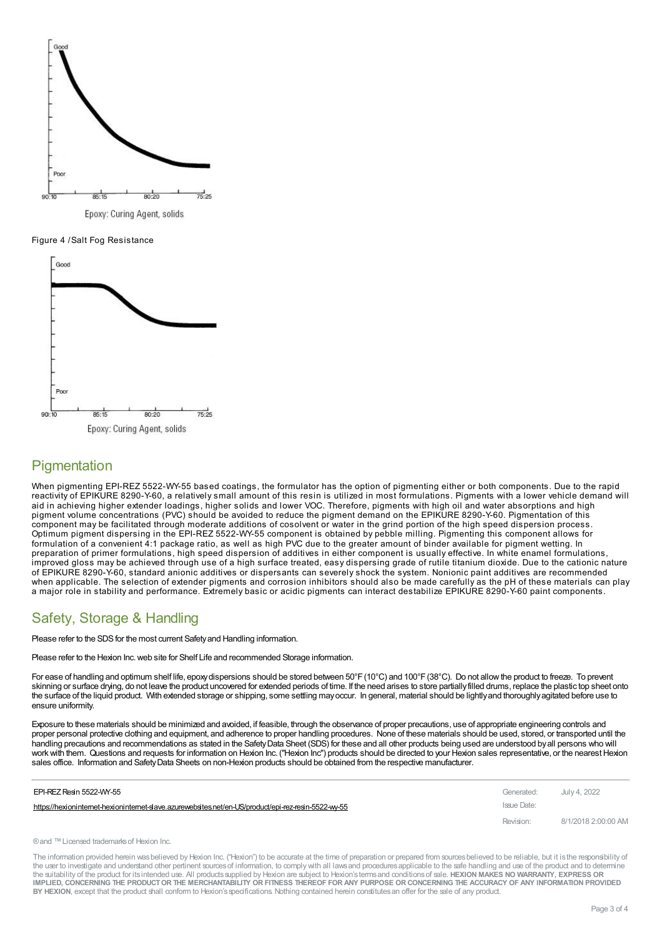

Figure 4 /Salt Fog Resistance



### **Pigmentation**

When pigmenting EPI-REZ 5522-WY-55 based coatings, the formulator has the option of pigmenting either or both components. Due to the rapid reactivity of EPIKURE 8290-Y-60, a relatively small amount of this resin is utilized in most formulations. Pigments with a lower vehicle demand will aid in achieving higher extender loadings, higher solids and lower VOC. Therefore, pigments with high oil and water absorptions and high pigment volume concentrations (PVC) should be avoided to reduce the pigment demand on the EPIKURE 8290-Y-60. Pigmentation of this component may be facilitated through moderate additions of cosolvent or water in the grind portion of the high speed dispersion process. Optimum pigment dispersing in the EPI-REZ 5522-WY-55 component is obtained by pebble milling. Pigmenting this component allows for formulation of a convenient 4:1 package ratio, as well as high PVC due to the greater amount of binder available for pigment wetting. In preparation of primer formulations, high speed dispersion of additives in either component is usually effective. In white enamel formulations, improved gloss may be achieved through use of a high surface treated, easy dispersing grade of rutile titanium dioxide. Due to the cationic nature of EPIKURE 8290-Y-60, standard anionic additives or dispersants can severely shock the system. Nonionic paint additives are recommended when applicable. The selection of extender pigments and corrosion inhibitors should also be made carefully as the pH of these materials can play a major role in stability and performance. Extremely basic or acidic pigments can interact destabilize EPIKURE 8290-Y-60 paint components.

# Safety, Storage & Handling

Please refer to the SDS for the most current Safety and Handling information.

Please refer to the Hexion Inc.web site for Shelf Life and recommended Storage information.

For ease of handling and optimum shelf life, epoxy dispersions should be stored between 50°F (10°C) and 100°F (38°C). Do not allow the product to freeze. To prevent skinning or surface drying, do not leave the product uncovered for extended periods of time. If the need arises to store partiallyfilled drums, replace the plastic top sheet onto the surface of the liquid product. With extended storage or shipping, some settling mayoccur. In general, material should be lightlyand thoroughlyagitated before use to ensure uniformity.

Exposure to these materials should be minimized and avoided, if feasible, through the observance of proper precautions, use of appropriate engineering controls and proper personal protective clothing and equipment, and adherence to proper handling procedures. None of these materials should be used, stored, or transported until the handling precautions and recommendations as stated in the Safety Data Sheet (SDS) for these and all other products being used are understood by all persons who will work with them. Questions and requests for information on Hexion Inc. ("Hexion Inc") products should be directed to your Hexion sales representative, or the nearest Hexion sales office. Information and Safety Data Sheets on non-Hexion products should be obtained from the respective manufacturer.

| EPI-REZ Resin 5522-WY-55                                                                             | Generated:  | July 4. 2022        |
|------------------------------------------------------------------------------------------------------|-------------|---------------------|
| https://hexioninternet-hexioninternet-slave.azurewebsites.net/en-US/product/epi-rez-resin-5522-wy-55 | Issue Date: |                     |
|                                                                                                      | Revision:   | 8/1/2018 2:00:00 AM |

®and ™Licensed trademarksof Hexion Inc.

The information provided herein wasbelieved by Hexion Inc. ("Hexion") to be accurate at the time of preparation or prepared from sourcesbelieved to be reliable, but it isthe responsibility of the user to investigate and understand other pertinent sources of information, to comply with all laws and procedures applicable to the safe handling and use of the product and to determine the suitability of the product for itsintended use. All productssupplied by Hexion are subject to Hexion'stermsand conditionsof sale. **HEXION MAKES NO WARRANTY, EXPRESS OR** IMPLIED, CONCERNING THE PRODUCT OR THE MERCHANTABILITY OR FITNESS THEREOF FOR ANY PURPOSE OR CONCERNING THE ACCURACY OF ANY INFORMATION PROVIDED **BY HEXION**, except that the product shall conform to Hexion'sspecifications. Nothing contained herein constitutesan offer for the sale of any product.